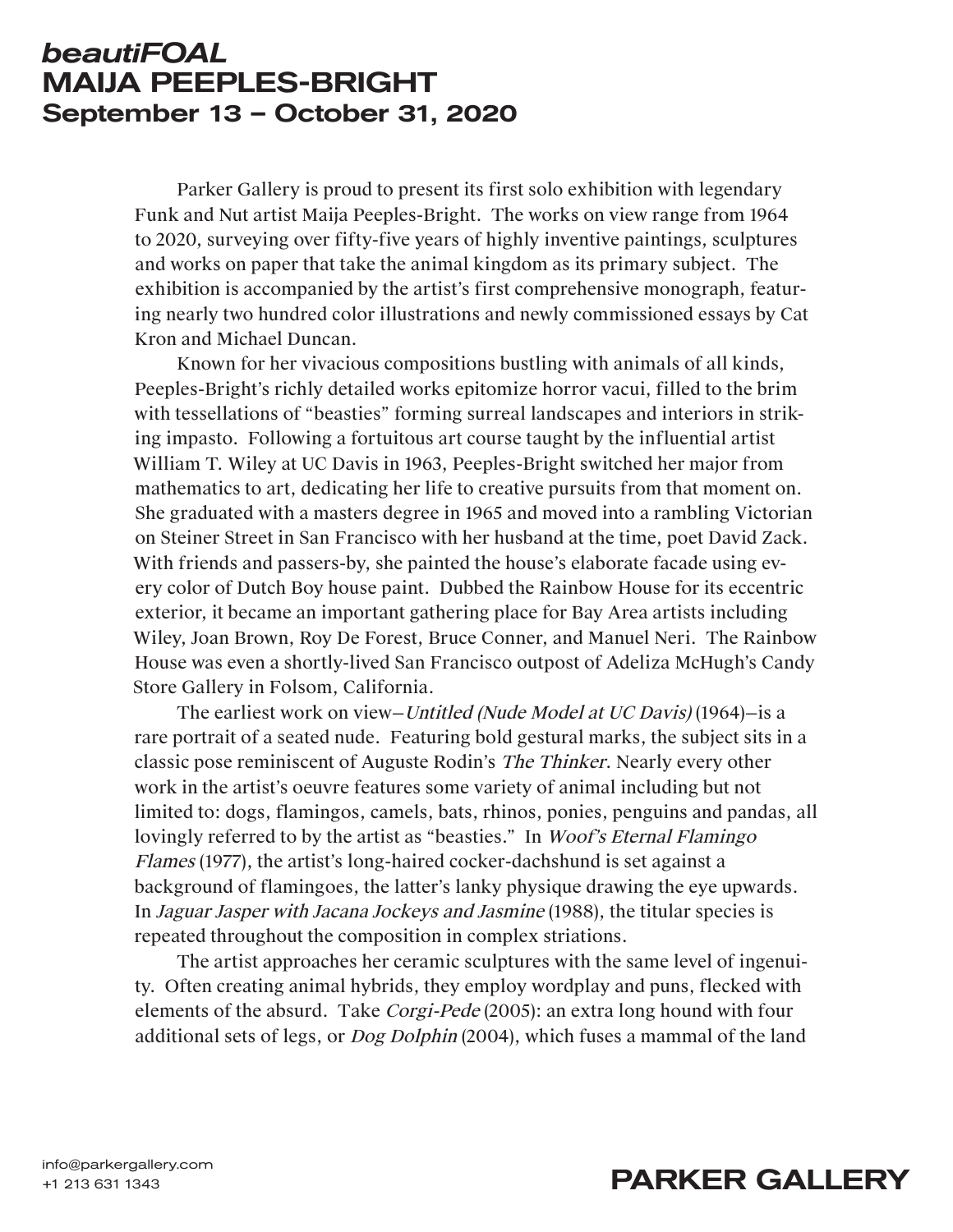## *beautiFOAL* MAIJA PEEPLES-BRIGHT September 13 – October 31, 2020

Parker Gallery is proud to present its first solo exhibition with legendary Funk and Nut artist Maija Peeples-Bright. The works on view range from 1964 to 2020, surveying over fifty-five years of highly inventive paintings, sculptures and works on paper that take the animal kingdom as its primary subject. The exhibition is accompanied by the artist's first comprehensive monograph, featuring nearly two hundred color illustrations and newly commissioned essays by Cat Kron and Michael Duncan.

Known for her vivacious compositions bustling with animals of all kinds, Peeples-Bright's richly detailed works epitomize horror vacui, filled to the brim with tessellations of "beasties" forming surreal landscapes and interiors in striking impasto. Following a fortuitous art course taught by the influential artist William T. Wiley at UC Davis in 1963, Peeples-Bright switched her major from mathematics to art, dedicating her life to creative pursuits from that moment on. She graduated with a masters degree in 1965 and moved into a rambling Victorian on Steiner Street in San Francisco with her husband at the time, poet David Zack. With friends and passers-by, she painted the house's elaborate facade using every color of Dutch Boy house paint. Dubbed the Rainbow House for its eccentric exterior, it became an important gathering place for Bay Area artists including Wiley, Joan Brown, Roy De Forest, Bruce Conner, and Manuel Neri. The Rainbow House was even a shortly-lived San Francisco outpost of Adeliza McHugh's Candy Store Gallery in Folsom, California.

The earliest work on view—Untitled (Nude Model at UC Davis) (1964)—is a rare portrait of a seated nude. Featuring bold gestural marks, the subject sits in a classic pose reminiscent of Auguste Rodin's The Thinker. Nearly every other work in the artist's oeuvre features some variety of animal including but not limited to: dogs, flamingos, camels, bats, rhinos, ponies, penguins and pandas, all lovingly referred to by the artist as "beasties." In Woof's Eternal Flamingo Flames (1977), the artist's long-haired cocker-dachshund is set against a background of flamingoes, the latter's lanky physique drawing the eye upwards. In Jaguar Jasper with Jacana Jockeys and Jasmine (1988), the titular species is repeated throughout the composition in complex striations.

The artist approaches her ceramic sculptures with the same level of ingenuity. Often creating animal hybrids, they employ wordplay and puns, flecked with elements of the absurd. Take Corgi-Pede (2005): an extra long hound with four additional sets of legs, or Dog Dolphin (2004), which fuses a mammal of the land

## info@parkergallery.com<br>+1 213 631 1343<br>**PARKER GALLERY**